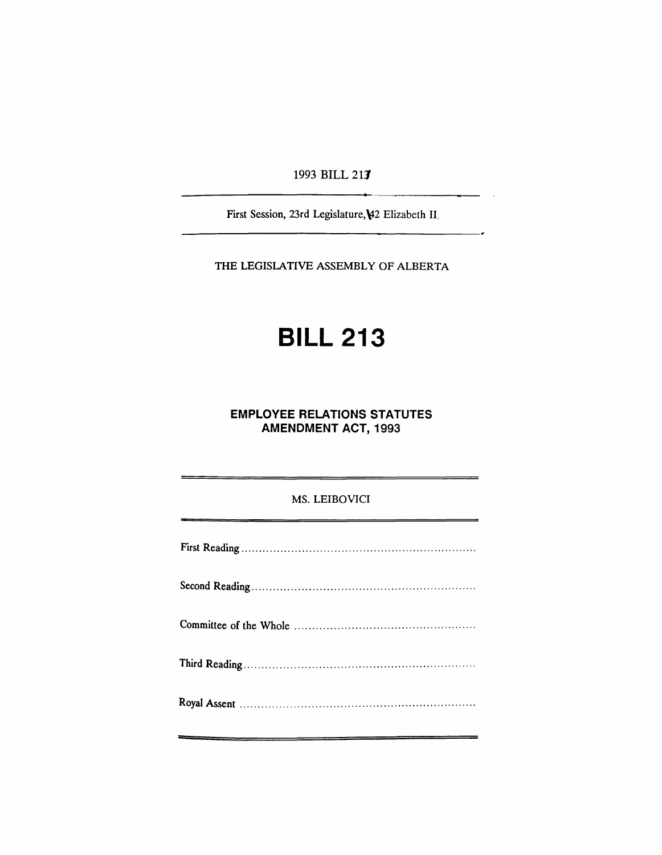1993 BILL 217

First Session, 23rd Legislature, ¥2 Elizabeth II.

THE LEGISLATIVE ASSEMBLY OF ALBERTA

# BILL 213

# EMPLOYEE RELATIONS STATUTES AMENDMENT ACT, 1993

### MS. LEIBOVICI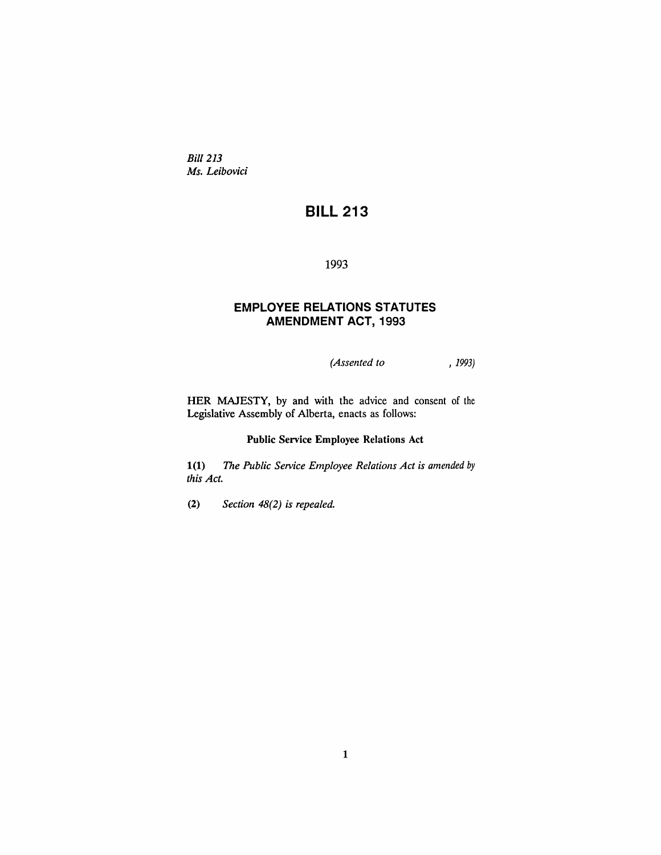*Bill* 213 *Ms. Leibovici*

# **BILL 213**

1993

## **EMPLOYEE RELATIONS STATUTES AMENDMENT** ACT, 1993

*(Assented to* , 1993)

HER MAJESTY, by and with the advice and consent of the Legislative Assembly of Alberta, enacts as follows:

#### Public Service Employee Relations Act

1(1) The *Public Service Employee Relations Act is amended* by *this Act.*

(2) *Section* 48(2) *is repealed.*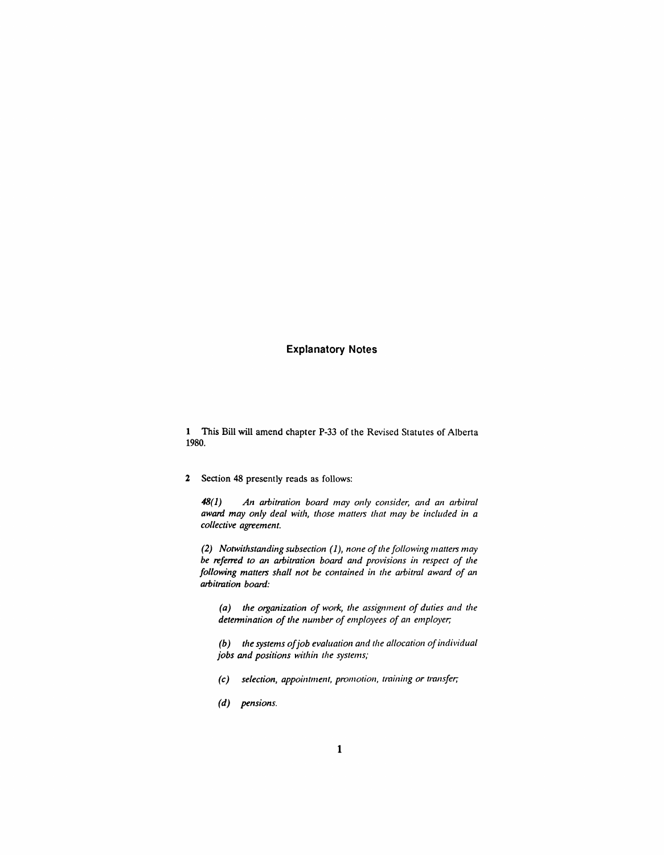#### **Explanatory Notes**

1 This Bill will amend chapter P-33 of the Revised Statutes of Alberta 1980.

2 Section 48 presently reads as follows:

*48(1) An arbitration board may only consider, and an arbitral award may only deal with, those matters that may be included in a collective agreement.*

*(2) Notwithstanding subsection* (1), *none ofthe following matters may be referred* to *an arbitration board and provisions in respect* of the *following matters shall not be contained in the arbitral award of an arbitration board:*

*(a) the organization of work, the assignment of duties alld the detennination of the number of employees of an employer,·*

*(b) the systems ofjob evaluation alld the allocation ofindividual jobs and positions within the systems;*

- *(c) selection, appointment, promotioll, trailling or transfer,'*
- *(d) pensions.*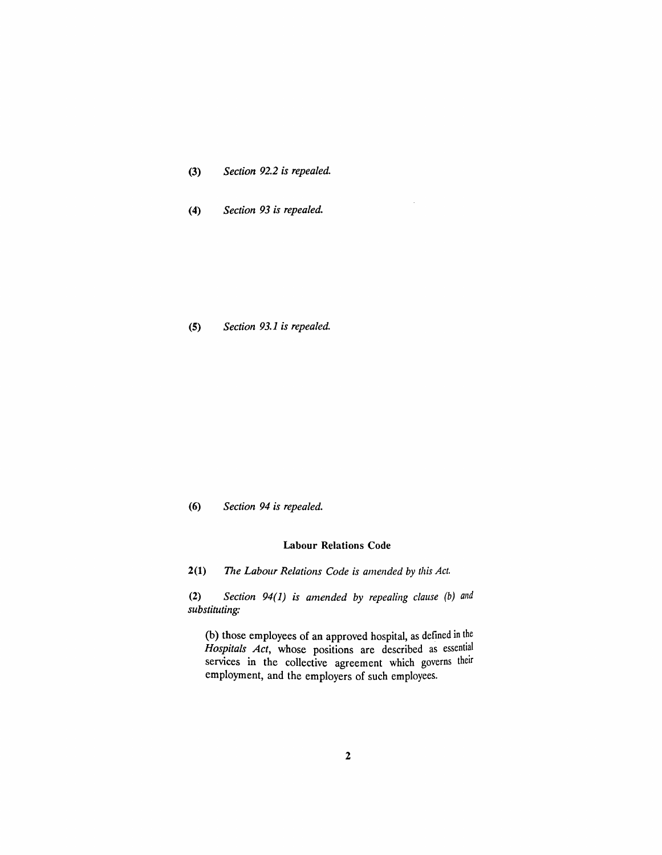| (3) |  |  | Section 92.2 is repealed. |
|-----|--|--|---------------------------|
|-----|--|--|---------------------------|

*(4) Section* 93 *is repealed.*

*(5) Section* 93.1 *is repealed.*

#### *(6) Section* 94 *is repealed.*

#### Labour Relations Code

2(1) The Labour Relations Code is amended by this Act.

*(2) Section* 94(1) *is amended by repealing clause (b) and substituting:*

(b) those employees of an approved hospital, as defined in the *Hospitals Act*, whose positions are described as essential services in the collective agreement which governs their employment, and the employers of such employees.